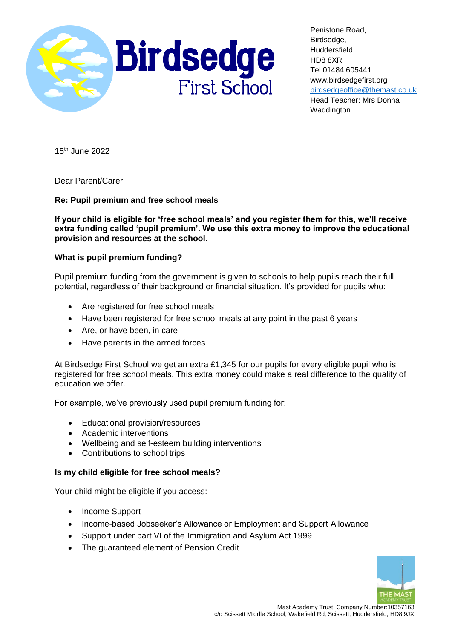

Penistone Road, Birdsedge, Huddersfield HD8 8XR Tel 01484 605441 www.birdsedgefirst.org [birdsedgeoffice@themast.co.uk](mailto:office@birdsedgefirst.org) Head Teacher: Mrs Donna **Waddington** 

15th June 2022

Dear Parent/Carer,

## **Re: Pupil premium and free school meals**

**If your child is eligible for 'free school meals' and you register them for this, we'll receive extra funding called 'pupil premium'. We use this extra money to improve the educational provision and resources at the school.** 

## **What is pupil premium funding?**

Pupil premium funding from the government is given to schools to help pupils reach their full potential, regardless of their background or financial situation. It's provided for pupils who:

- Are registered for free school meals
- Have been registered for free school meals at any point in the past 6 years
- Are, or have been, in care
- Have parents in the armed forces

At Birdsedge First School we get an extra £1,345 for our pupils for every eligible pupil who is registered for free school meals. This extra money could make a real difference to the quality of education we offer.

For example, we've previously used pupil premium funding for:

- Educational provision/resources
- Academic interventions
- Wellbeing and self-esteem building interventions
- Contributions to school trips

## **Is my child eligible for free school meals?**

Your child might be eligible if you access:

- Income Support
- Income-based Jobseeker's Allowance or Employment and Support Allowance
- Support under part VI of the Immigration and Asylum Act 1999
- The guaranteed element of Pension Credit

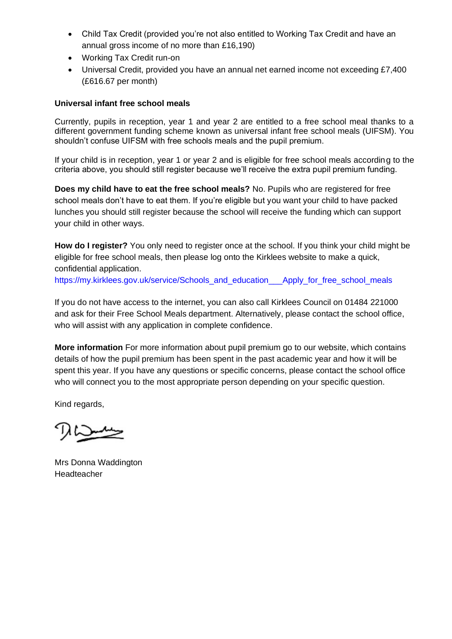- Child Tax Credit (provided you're not also entitled to Working Tax Credit and have an annual gross income of no more than £16,190)
- Working Tax Credit run-on
- Universal Credit, provided you have an annual net earned income not exceeding £7,400 (£616.67 per month)

## **Universal infant free school meals**

Currently, pupils in reception, year 1 and year 2 are entitled to a free school meal thanks to a different government funding scheme known as universal infant free school meals (UIFSM). You shouldn't confuse UIFSM with free schools meals and the pupil premium.

If your child is in reception, year 1 or year 2 and is eligible for free school meals according to the criteria above, you should still register because we'll receive the extra pupil premium funding.

**Does my child have to eat the free school meals?** No. Pupils who are registered for free school meals don't have to eat them. If you're eligible but you want your child to have packed lunches you should still register because the school will receive the funding which can support your child in other ways.

**How do I register?** You only need to register once at the school. If you think your child might be eligible for free school meals, then please log onto the Kirklees website to make a quick, confidential application.

https://my.kirklees.gov.uk/service/Schools\_and\_education\_\_\_\_Apply\_for\_free\_school\_meals

If you do not have access to the internet, you can also call Kirklees Council on 01484 221000 and ask for their Free School Meals department. Alternatively, please contact the school office, who will assist with any application in complete confidence.

**More information** For more information about pupil premium go to our website, which contains details of how the pupil premium has been spent in the past academic year and how it will be spent this year. If you have any questions or specific concerns, please contact the school office who will connect you to the most appropriate person depending on your specific question.

Kind regards,

Mrs Donna Waddington Headteacher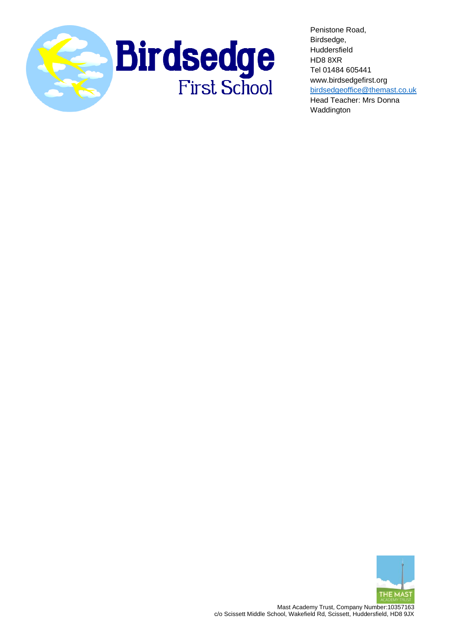

Penistone Road, Birdsedge, Huddersfield HD8 8XR Tel 01484 605441 www.birdsedgefirst.org [birdsedgeoffice@themast.co.uk](mailto:office@birdsedgefirst.org) Head Teacher: Mrs Donna Waddington